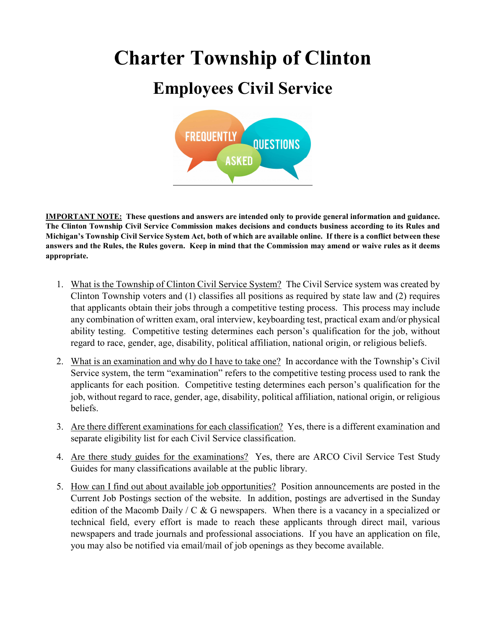## **Charter Township of Clinton Employees Civil Service**



**IMPORTANT NOTE: These questions and answers are intended only to provide general information and guidance. The Clinton Township Civil Service Commission makes decisions and conducts business according to its Rules and Michigan's Township Civil Service System Act, both of which are available online. If there is a conflict between these answers and the Rules, the Rules govern. Keep in mind that the Commission may amend or waive rules as it deems appropriate.** 

- 1. What is the Township of Clinton Civil Service System? The Civil Service system was created by Clinton Township voters and (1) classifies all positions as required by state law and (2) requires that applicants obtain their jobs through a competitive testing process. This process may include any combination of written exam, oral interview, keyboarding test, practical exam and/or physical ability testing. Competitive testing determines each person's qualification for the job, without regard to race, gender, age, disability, political affiliation, national origin, or religious beliefs.
- 2. What is an examination and why do I have to take one? In accordance with the Township's Civil Service system, the term "examination" refers to the competitive testing process used to rank the applicants for each position. Competitive testing determines each person's qualification for the job, without regard to race, gender, age, disability, political affiliation, national origin, or religious beliefs.
- 3. Are there different examinations for each classification? Yes, there is a different examination and separate eligibility list for each Civil Service classification.
- 4. Are there study guides for the examinations? Yes, there are ARCO Civil Service Test Study Guides for many classifications available at the public library.
- 5. How can I find out about available job opportunities? Position announcements are posted in the Current Job Postings section of the website. In addition, postings are advertised in the Sunday edition of the Macomb Daily / C & G newspapers. When there is a vacancy in a specialized or technical field, every effort is made to reach these applicants through direct mail, various newspapers and trade journals and professional associations. If you have an application on file, you may also be notified via email/mail of job openings as they become available.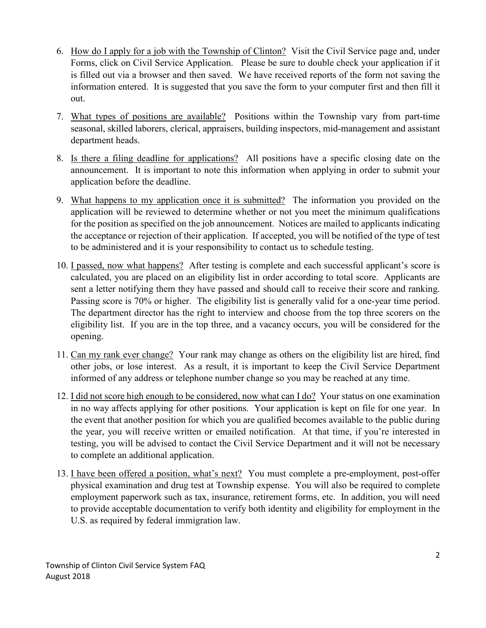- 6. How do I apply for a job with the Township of Clinton? Visit the Civil Service page and, under Forms, click on Civil Service Application. Please be sure to double check your application if it is filled out via a browser and then saved. We have received reports of the form not saving the information entered. It is suggested that you save the form to your computer first and then fill it out.
- 7. What types of positions are available? Positions within the Township vary from part-time seasonal, skilled laborers, clerical, appraisers, building inspectors, mid-management and assistant department heads.
- 8. Is there a filing deadline for applications? All positions have a specific closing date on the announcement. It is important to note this information when applying in order to submit your application before the deadline.
- 9. What happens to my application once it is submitted? The information you provided on the application will be reviewed to determine whether or not you meet the minimum qualifications for the position as specified on the job announcement. Notices are mailed to applicants indicating the acceptance or rejection of their application. If accepted, you will be notified of the type of test to be administered and it is your responsibility to contact us to schedule testing.
- 10. I passed, now what happens? After testing is complete and each successful applicant's score is calculated, you are placed on an eligibility list in order according to total score. Applicants are sent a letter notifying them they have passed and should call to receive their score and ranking. Passing score is 70% or higher. The eligibility list is generally valid for a one-year time period. The department director has the right to interview and choose from the top three scorers on the eligibility list. If you are in the top three, and a vacancy occurs, you will be considered for the opening.
- 11. Can my rank ever change? Your rank may change as others on the eligibility list are hired, find other jobs, or lose interest. As a result, it is important to keep the Civil Service Department informed of any address or telephone number change so you may be reached at any time.
- 12. I did not score high enough to be considered, now what can I do? Your status on one examination in no way affects applying for other positions. Your application is kept on file for one year. In the event that another position for which you are qualified becomes available to the public during the year, you will receive written or emailed notification. At that time, if you're interested in testing, you will be advised to contact the Civil Service Department and it will not be necessary to complete an additional application.
- 13. I have been offered a position, what's next? You must complete a pre-employment, post-offer physical examination and drug test at Township expense. You will also be required to complete employment paperwork such as tax, insurance, retirement forms, etc. In addition, you will need to provide acceptable documentation to verify both identity and eligibility for employment in the U.S. as required by federal immigration law.